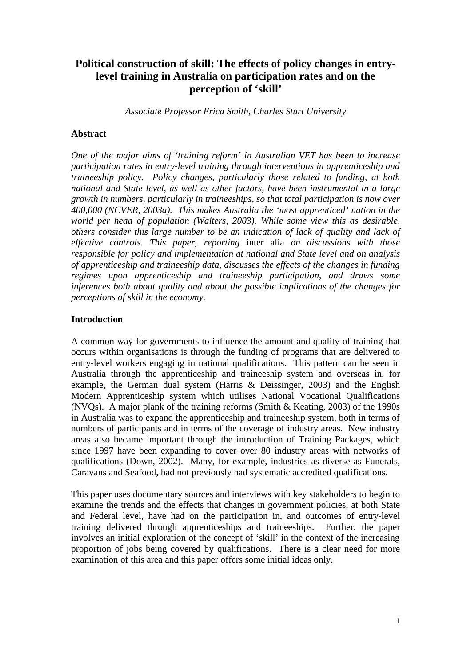# **Political construction of skill: The effects of policy changes in entrylevel training in Australia on participation rates and on the perception of 'skill'**

*Associate Professor Erica Smith, Charles Sturt University*

## **Abstract**

*One of the major aims of 'training reform' in Australian VET has been to increase participation rates in entry-level training through interventions in apprenticeship and traineeship policy. Policy changes, particularly those related to funding, at both national and State level, as well as other factors, have been instrumental in a large growth in numbers, particularly in traineeships, so that total participation is now over 400,000 (NCVER, 2003a). This makes Australia the 'most apprenticed' nation in the world per head of population (Walters, 2003). While some view this as desirable, others consider this large number to be an indication of lack of quality and lack of effective controls. This paper, reporting* inter alia *on discussions with those responsible for policy and implementation at national and State level and on analysis of apprenticeship and traineeship data, discusses the effects of the changes in funding regimes upon apprenticeship and traineeship participation, and draws some inferences both about quality and about the possible implications of the changes for perceptions of skill in the economy.*

# **Introduction**

A common way for governments to influence the amount and quality of training that occurs within organisations is through the funding of programs that are delivered to entry-level workers engaging in national qualifications. This pattern can be seen in Australia through the apprenticeship and traineeship system and overseas in, for example, the German dual system (Harris & Deissinger, 2003) and the English Modern Apprenticeship system which utilises National Vocational Qualifications (NVQs). A major plank of the training reforms (Smith & Keating, 2003) of the 1990s in Australia was to expand the apprenticeship and traineeship system, both in terms of numbers of participants and in terms of the coverage of industry areas. New industry areas also became important through the introduction of Training Packages, which since 1997 have been expanding to cover over 80 industry areas with networks of qualifications (Down, 2002). Many, for example, industries as diverse as Funerals, Caravans and Seafood, had not previously had systematic accredited qualifications.

This paper uses documentary sources and interviews with key stakeholders to begin to examine the trends and the effects that changes in government policies, at both State and Federal level, have had on the participation in, and outcomes of entry-level training delivered through apprenticeships and traineeships. Further, the paper involves an initial exploration of the concept of 'skill' in the context of the increasing proportion of jobs being covered by qualifications. There is a clear need for more examination of this area and this paper offers some initial ideas only.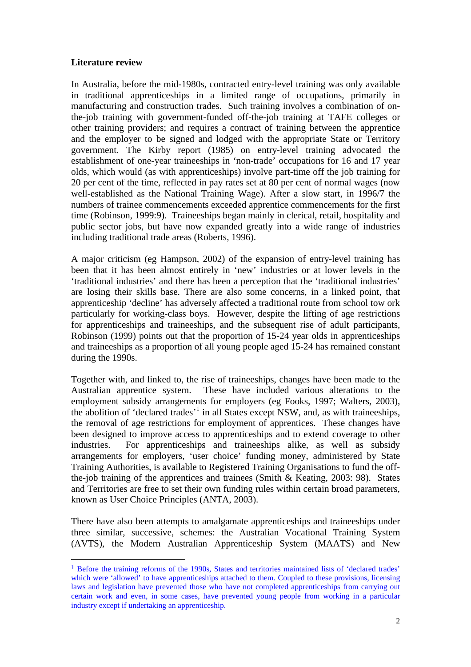# **Literature review**

 $\overline{a}$ 

In Australia, before the mid-1980s, contracted entry-level training was only available in traditional apprenticeships in a limited range of occupations, primarily in manufacturing and construction trades. Such training involves a combination of onthe-job training with government-funded off-the-job training at TAFE colleges or other training providers; and requires a contract of training between the apprentice and the employer to be signed and lodged with the appropriate State or Territory government. The Kirby report (1985) on entry-level training advocated the establishment of one-year traineeships in 'non-trade' occupations for 16 and 17 year olds, which would (as with apprenticeships) involve part-time off the job training for 20 per cent of the time, reflected in pay rates set at 80 per cent of normal wages (now well-established as the National Training Wage). After a slow start, in 1996/7 the numbers of trainee commencements exceeded apprentice commencements for the first time (Robinson, 1999:9). Traineeships began mainly in clerical, retail, hospitality and public sector jobs, but have now expanded greatly into a wide range of industries including traditional trade areas (Roberts, 1996).

A major criticism (eg Hampson, 2002) of the expansion of entry-level training has been that it has been almost entirely in 'new' industries or at lower levels in the 'traditional industries' and there has been a perception that the 'traditional industries' are losing their skills base. There are also some concerns, in a linked point, that apprenticeship 'decline' has adversely affected a traditional route from school tow ork particularly for working-class boys. However, despite the lifting of age restrictions for apprenticeships and traineeships, and the subsequent rise of adult participants, Robinson (1999) points out that the proportion of 15-24 year olds in apprenticeships and traineeships as a proportion of all young people aged 15-24 has remained constant during the 1990s.

Together with, and linked to, the rise of traineeships, changes have been made to the Australian apprentice system. These have included various alterations to the employment subsidy arrangements for employers (eg Fooks, 1997; Walters, 2003), the abolition of 'declared trades'<sup>1</sup> in all States except NSW, and, as with traineeships, the removal of age restrictions for employment of apprentices. These changes have been designed to improve access to apprenticeships and to extend coverage to other industries. For apprenticeships and traineeships alike, as well as subsidy arrangements for employers, 'user choice' funding money, administered by State Training Authorities, is available to Registered Training Organisations to fund the offthe-job training of the apprentices and trainees (Smith & Keating, 2003: 98). States and Territories are free to set their own funding rules within certain broad parameters, known as User Choice Principles (ANTA, 2003).

There have also been attempts to amalgamate apprenticeships and traineeships under three similar, successive, schemes: the Australian Vocational Training System (AVTS), the Modern Australian Apprenticeship System (MAATS) and New

<sup>1</sup> Before the training reforms of the 1990s, States and territories maintained lists of 'declared trades' which were 'allowed' to have apprenticeships attached to them. Coupled to these provisions, licensing laws and legislation have prevented those who have not completed apprenticeships from carrying out certain work and even, in some cases, have prevented young people from working in a particular industry except if undertaking an apprenticeship.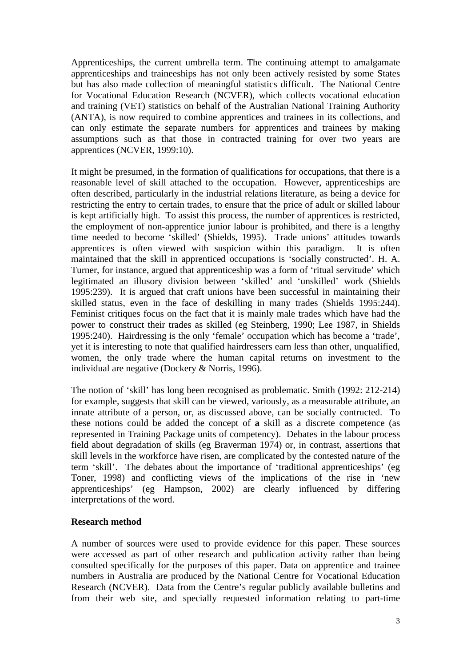Apprenticeships, the current umbrella term. The continuing attempt to amalgamate apprenticeships and traineeships has not only been actively resisted by some States but has also made collection of meaningful statistics difficult. The National Centre for Vocational Education Research (NCVER), which collects vocational education and training (VET) statistics on behalf of the Australian National Training Authority (ANTA), is now required to combine apprentices and trainees in its collections, and can only estimate the separate numbers for apprentices and trainees by making assumptions such as that those in contracted training for over two years are apprentices (NCVER, 1999:10).

It might be presumed, in the formation of qualifications for occupations, that there is a reasonable level of skill attached to the occupation. However, apprenticeships are often described, particularly in the industrial relations literature, as being a device for restricting the entry to certain trades, to ensure that the price of adult or skilled labour is kept artificially high. To assist this process, the number of apprentices is restricted, the employment of non-apprentice junior labour is prohibited, and there is a lengthy time needed to become 'skilled' (Shields, 1995). Trade unions' attitudes towards apprentices is often viewed with suspicion within this paradigm. It is often maintained that the skill in apprenticed occupations is 'socially constructed'. H. A. Turner, for instance, argued that apprenticeship was a form of 'ritual servitude' which legitimated an illusory division between 'skilled' and 'unskilled' work (Shields 1995:239). It is argued that craft unions have been successful in maintaining their skilled status, even in the face of deskilling in many trades (Shields 1995:244). Feminist critiques focus on the fact that it is mainly male trades which have had the power to construct their trades as skilled (eg Steinberg, 1990; Lee 1987, in Shields 1995:240). Hairdressing is the only 'female' occupation which has become a 'trade', yet it is interesting to note that qualified hairdressers earn less than other, unqualified, women, the only trade where the human capital returns on investment to the individual are negative (Dockery & Norris, 1996).

The notion of 'skill' has long been recognised as problematic. Smith (1992: 212-214) for example, suggests that skill can be viewed, variously, as a measurable attribute, an innate attribute of a person, or, as discussed above, can be socially contructed. To these notions could be added the concept of **a** skill as a discrete competence (as represented in Training Package units of competency). Debates in the labour process field about degradation of skills (eg Braverman 1974) or, in contrast, assertions that skill levels in the workforce have risen, are complicated by the contested nature of the term 'skill'. The debates about the importance of 'traditional apprenticeships' (eg Toner, 1998) and conflicting views of the implications of the rise in 'new apprenticeships' (eg Hampson, 2002) are clearly influenced by differing interpretations of the word.

## **Research method**

A number of sources were used to provide evidence for this paper. These sources were accessed as part of other research and publication activity rather than being consulted specifically for the purposes of this paper. Data on apprentice and trainee numbers in Australia are produced by the National Centre for Vocational Education Research (NCVER). Data from the Centre's regular publicly available bulletins and from their web site, and specially requested information relating to part-time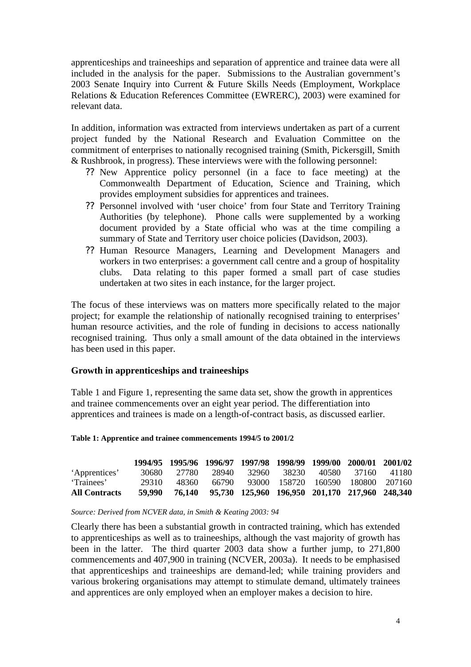apprenticeships and traineeships and separation of apprentice and trainee data were all included in the analysis for the paper. Submissions to the Australian government's 2003 Senate Inquiry into Current & Future Skills Needs (Employment, Workplace Relations & Education References Committee (EWRERC), 2003) were examined for relevant data.

In addition, information was extracted from interviews undertaken as part of a current project funded by the National Research and Evaluation Committee on the commitment of enterprises to nationally recognised training (Smith, Pickersgill, Smith & Rushbrook, in progress). These interviews were with the following personnel:

- ?? New Apprentice policy personnel (in a face to face meeting) at the Commonwealth Department of Education, Science and Training, which provides employment subsidies for apprentices and trainees.
- ?? Personnel involved with 'user choice' from four State and Territory Training Authorities (by telephone). Phone calls were supplemented by a working document provided by a State official who was at the time compiling a summary of State and Territory user choice policies (Davidson, 2003).
- ?? Human Resource Managers, Learning and Development Managers and workers in two enterprises: a government call centre and a group of hospitality clubs. Data relating to this paper formed a small part of case studies undertaken at two sites in each instance, for the larger project.

The focus of these interviews was on matters more specifically related to the major project; for example the relationship of nationally recognised training to enterprises' human resource activities, and the role of funding in decisions to access nationally recognised training. Thus only a small amount of the data obtained in the interviews has been used in this paper.

# **Growth in apprenticeships and traineeships**

Table 1 and Figure 1, representing the same data set, show the growth in apprentices and trainee commencements over an eight year period. The differentiation into apprentices and trainees is made on a length-of-contract basis, as discussed earlier.

#### **Table 1: Apprentice and trainee commencements 1994/5 to 2001/2**

|                      |         |       |  | 1994/95 1995/96 1996/97 1997/98 1998/99 1999/00 2000/01 2001/02 |  |  |
|----------------------|---------|-------|--|-----------------------------------------------------------------|--|--|
| 'Apprentices'        | 30680 - | 27780 |  | 28940 32960 38230 40580 37160 41180                             |  |  |
| 'Trainees'           | 29310   | 48360 |  | 66790 93000 158720 160590 180800 207160                         |  |  |
| <b>All Contracts</b> | 59.990  |       |  | 76,140 95,730 125,960 196,950 201,170 217,960 248,340           |  |  |

#### *Source: Derived from NCVER data, in Smith & Keating 2003: 94*

Clearly there has been a substantial growth in contracted training, which has extended to apprenticeships as well as to traineeships, although the vast majority of growth has been in the latter. The third quarter 2003 data show a further jump, to 271,800 commencements and 407,900 in training (NCVER, 2003a). It needs to be emphasised that apprenticeships and traineeships are demand-led; while training providers and various brokering organisations may attempt to stimulate demand, ultimately trainees and apprentices are only employed when an employer makes a decision to hire.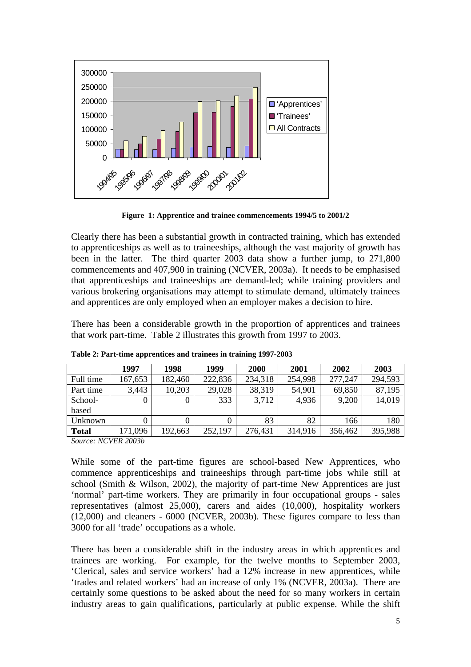

**Figure 1: Apprentice and trainee commencements 1994/5 to 2001/2**

Clearly there has been a substantial growth in contracted training, which has extended to apprenticeships as well as to traineeships, although the vast majority of growth has been in the latter. The third quarter 2003 data show a further jump, to 271,800 commencements and 407,900 in training (NCVER, 2003a). It needs to be emphasised that apprenticeships and traineeships are demand-led; while training providers and various brokering organisations may attempt to stimulate demand, ultimately trainees and apprentices are only employed when an employer makes a decision to hire.

There has been a considerable growth in the proportion of apprentices and trainees that work part-time. Table 2 illustrates this growth from 1997 to 2003.

|              | 1997    | 1998    | 1999    | 2000    | 2001    | 2002    | 2003    |
|--------------|---------|---------|---------|---------|---------|---------|---------|
| Full time    | 167,653 | 182,460 | 222,836 | 234,318 | 254,998 | 277,247 | 294,593 |
| Part time    | 3,443   | 10,203  | 29,028  | 38,319  | 54,901  | 69,850  | 87,195  |
| School-      |         |         | 333     | 3,712   | 4,936   | 9,200   | 14,019  |
| based        |         |         |         |         |         |         |         |
| Unknown      |         |         |         | 83      | 82      | 166     | 180     |
| <b>Total</b> | 171,096 | 192,663 | 252,197 | 276,431 | 314,916 | 356,462 | 395,988 |

**Table 2: Part-time apprentices and trainees in training 1997-2003**

*Source: NCVER 2003b*

While some of the part-time figures are school-based New Apprentices, who commence apprenticeships and traineeships through part-time jobs while still at school (Smith & Wilson, 2002), the majority of part-time New Apprentices are just 'normal' part-time workers. They are primarily in four occupational groups - sales representatives (almost 25,000), carers and aides (10,000), hospitality workers (12,000) and cleaners - 6000 (NCVER, 2003b). These figures compare to less than 3000 for all 'trade' occupations as a whole.

There has been a considerable shift in the industry areas in which apprentices and trainees are working. For example, for the twelve months to September 2003, 'Clerical, sales and service workers' had a 12% increase in new apprentices, while 'trades and related workers' had an increase of only 1% (NCVER, 2003a). There are certainly some questions to be asked about the need for so many workers in certain industry areas to gain qualifications, particularly at public expense. While the shift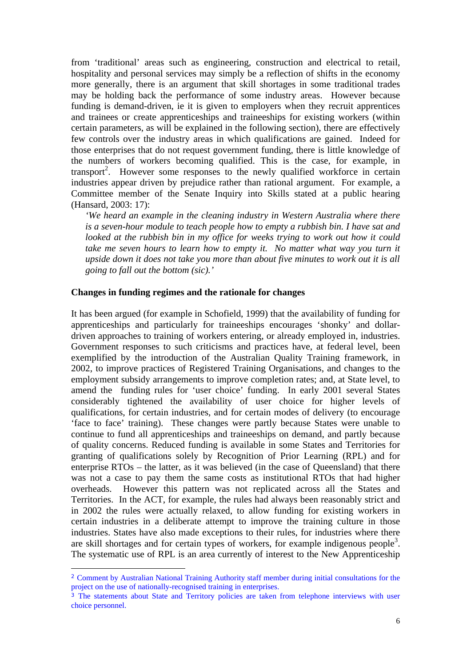from 'traditional' areas such as engineering, construction and electrical to retail, hospitality and personal services may simply be a reflection of shifts in the economy more generally, there is an argument that skill shortages in some traditional trades may be holding back the performance of some industry areas. However because funding is demand-driven, ie it is given to employers when they recruit apprentices and trainees or create apprenticeships and traineeships for existing workers (within certain parameters, as will be explained in the following section), there are effectively few controls over the industry areas in which qualifications are gained. Indeed for those enterprises that do not request government funding, there is little knowledge of the numbers of workers becoming qualified. This is the case, for example, in transport<sup>2</sup>. However some responses to the newly qualified workforce in certain industries appear driven by prejudice rather than rational argument. For example, a Committee member of the Senate Inquiry into Skills stated at a public hearing (Hansard, 2003: 17):

*'We heard an example in the cleaning industry in Western Australia where there is a seven-hour module to teach people how to empty a rubbish bin. I have sat and looked at the rubbish bin in my office for weeks trying to work out how it could take me seven hours to learn how to empty it. No matter what way you turn it upside down it does not take you more than about five minutes to work out it is all going to fall out the bottom (sic).'* 

#### **Changes in funding regimes and the rationale for changes**

It has been argued (for example in Schofield, 1999) that the availability of funding for apprenticeships and particularly for traineeships encourages 'shonky' and dollardriven approaches to training of workers entering, or already employed in, industries. Government responses to such criticisms and practices have, at federal level, been exemplified by the introduction of the Australian Quality Training framework, in 2002, to improve practices of Registered Training Organisations, and changes to the employment subsidy arrangements to improve completion rates; and, at State level, to amend the funding rules for 'user choice' funding. In early 2001 several States considerably tightened the availability of user choice for higher levels of qualifications, for certain industries, and for certain modes of delivery (to encourage 'face to face' training). These changes were partly because States were unable to continue to fund all apprenticeships and traineeships on demand, and partly because of quality concerns. Reduced funding is available in some States and Territories for granting of qualifications solely by Recognition of Prior Learning (RPL) and for enterprise RTOs – the latter, as it was believed (in the case of Queensland) that there was not a case to pay them the same costs as institutional RTOs that had higher overheads. However this pattern was not replicated across all the States and Territories. In the ACT, for example, the rules had always been reasonably strict and in 2002 the rules were actually relaxed, to allow funding for existing workers in certain industries in a deliberate attempt to improve the training culture in those industries. States have also made exceptions to their rules, for industries where there are skill shortages and for certain types of workers, for example indigenous people<sup>3</sup>. The systematic use of RPL is an area currently of interest to the New Apprenticeship

 $\overline{a}$ 

<sup>2</sup> Comment by Australian National Training Authority staff member during initial consultations for the project on the use of nationally-recognised training in enterprises.

<sup>3</sup> The statements about State and Territory policies are taken from telephone interviews with user choice personnel.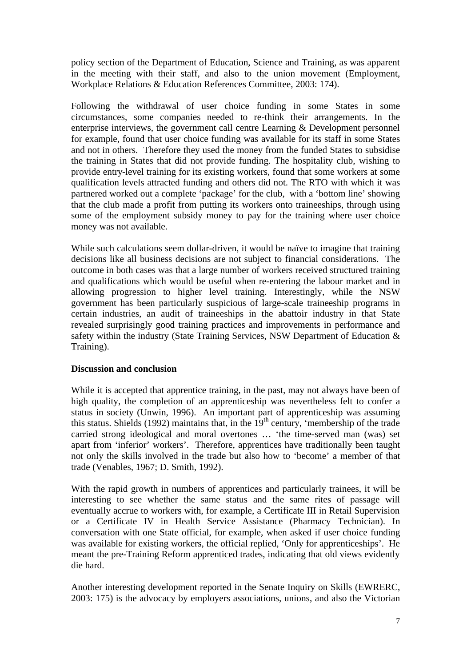policy section of the Department of Education, Science and Training, as was apparent in the meeting with their staff, and also to the union movement (Employment, Workplace Relations & Education References Committee, 2003: 174).

Following the withdrawal of user choice funding in some States in some circumstances, some companies needed to re-think their arrangements. In the enterprise interviews, the government call centre Learning & Development personnel for example, found that user choice funding was available for its staff in some States and not in others. Therefore they used the money from the funded States to subsidise the training in States that did not provide funding. The hospitality club, wishing to provide entry-level training for its existing workers, found that some workers at some qualification levels attracted funding and others did not. The RTO with which it was partnered worked out a complete 'package' for the club, with a 'bottom line' showing that the club made a profit from putting its workers onto traineeships, through using some of the employment subsidy money to pay for the training where user choice money was not available.

While such calculations seem dollar-driven, it would be naïve to imagine that training decisions like all business decisions are not subject to financial considerations. The outcome in both cases was that a large number of workers received structured training and qualifications which would be useful when re-entering the labour market and in allowing progression to higher level training. Interestingly, while the NSW government has been particularly suspicious of large-scale traineeship programs in certain industries, an audit of traineeships in the abattoir industry in that State revealed surprisingly good training practices and improvements in performance and safety within the industry (State Training Services, NSW Department of Education & Training).

## **Discussion and conclusion**

While it is accepted that apprentice training, in the past, may not always have been of high quality, the completion of an apprenticeship was nevertheless felt to confer a status in society (Unwin, 1996). An important part of apprenticeship was assuming this status. Shields (1992) maintains that, in the  $19<sup>th</sup>$  century, 'membership of the trade carried strong ideological and moral overtones … 'the time-served man (was) set apart from 'inferior' workers'. Therefore, apprentices have traditionally been taught not only the skills involved in the trade but also how to 'become' a member of that trade (Venables, 1967; D. Smith, 1992).

With the rapid growth in numbers of apprentices and particularly trainees, it will be interesting to see whether the same status and the same rites of passage will eventually accrue to workers with, for example, a Certificate III in Retail Supervision or a Certificate IV in Health Service Assistance (Pharmacy Technician). In conversation with one State official, for example, when asked if user choice funding was available for existing workers, the official replied, 'Only for apprenticeships'. He meant the pre-Training Reform apprenticed trades, indicating that old views evidently die hard.

Another interesting development reported in the Senate Inquiry on Skills (EWRERC, 2003: 175) is the advocacy by employers associations, unions, and also the Victorian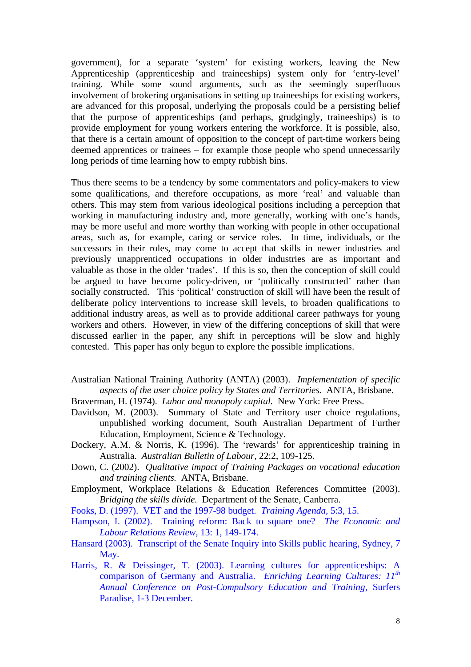government), for a separate 'system' for existing workers, leaving the New Apprenticeship (apprenticeship and traineeships) system only for 'entry-level' training. While some sound arguments, such as the seemingly superfluous involvement of brokering organisations in setting up traineeships for existing workers, are advanced for this proposal, underlying the proposals could be a persisting belief that the purpose of apprenticeships (and perhaps, grudgingly, traineeships) is to provide employment for young workers entering the workforce. It is possible, also, that there is a certain amount of opposition to the concept of part-time workers being deemed apprentices or trainees – for example those people who spend unnecessarily long periods of time learning how to empty rubbish bins.

Thus there seems to be a tendency by some commentators and policy-makers to view some qualifications, and therefore occupations, as more 'real' and valuable than others. This may stem from various ideological positions including a perception that working in manufacturing industry and, more generally, working with one's hands, may be more useful and more worthy than working with people in other occupational areas, such as, for example, caring or service roles. In time, individuals, or the successors in their roles, may come to accept that skills in newer industries and previously unapprenticed occupations in older industries are as important and valuable as those in the older 'trades'. If this is so, then the conception of skill could be argued to have become policy-driven, or 'politically constructed' rather than socially constructed. This 'political' construction of skill will have been the result of deliberate policy interventions to increase skill levels, to broaden qualifications to additional industry areas, as well as to provide additional career pathways for young workers and others. However, in view of the differing conceptions of skill that were discussed earlier in the paper, any shift in perceptions will be slow and highly contested. This paper has only begun to explore the possible implications.

- Australian National Training Authority (ANTA) (2003). *Implementation of specific aspects of the user choice policy by States and Territories.* ANTA, Brisbane.
- Braverman, H. (1974). *Labor and monopoly capital.* New York: Free Press.
- Davidson, M. (2003). Summary of State and Territory user choice regulations, unpublished working document, South Australian Department of Further Education, Employment, Science & Technology.
- Dockery, A.M. & Norris, K. (1996). The 'rewards' for apprenticeship training in Australia. *Australian Bulletin of Labour,* 22:2, 109-125.
- Down, C. (2002). *Qualitative impact of Training Packages on vocational education and training clients.* ANTA, Brisbane.
- Employment, Workplace Relations & Education References Committee (2003). *Bridging the skills divide.* Department of the Senate, Canberra.
- Fooks, D. (1997). VET and the 1997-98 budget. *Training Agenda,* 5:3, 15.
- Hampson, I. (2002). Training reform: Back to square one? *The Economic and Labour Relations Review,* 13: 1, 149-174.
- Hansard (2003). Transcript of the Senate Inquiry into Skills public hearing, Sydney, 7 May.
- Harris, R. & Deissinger, T. (2003). Learning cultures for apprenticeships: A comparison of Germany and Australia. *Enriching Learning Cultures: 11th Annual Conference on Post-Compulsory Education and Training,* Surfers Paradise, 1-3 December.